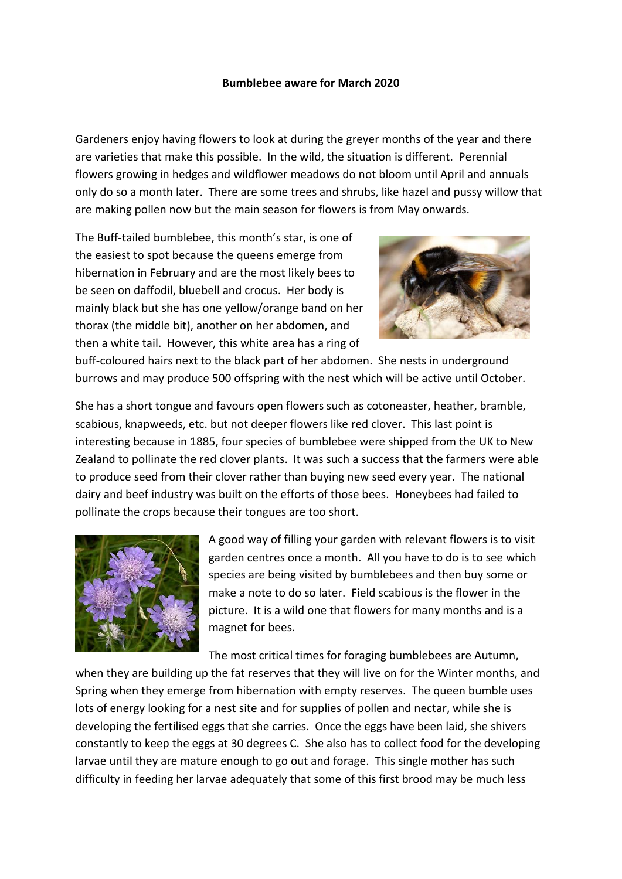## **Bumblebee aware for March 2020**

Gardeners enjoy having flowers to look at during the greyer months of the year and there are varieties that make this possible. In the wild, the situation is different. Perennial flowers growing in hedges and wildflower meadows do not bloom until April and annuals only do so a month later. There are some trees and shrubs, like hazel and pussy willow that are making pollen now but the main season for flowers is from May onwards.

The Buff-tailed bumblebee, this month's star, is one of the easiest to spot because the queens emerge from hibernation in February and are the most likely bees to be seen on daffodil, bluebell and crocus. Her body is mainly black but she has one yellow/orange band on her thorax (the middle bit), another on her abdomen, and then a white tail. However, this white area has a ring of



buff-coloured hairs next to the black part of her abdomen. She nests in underground burrows and may produce 500 offspring with the nest which will be active until October.

She has a short tongue and favours open flowers such as cotoneaster, heather, bramble, scabious, knapweeds, etc. but not deeper flowers like red clover. This last point is interesting because in 1885, four species of bumblebee were shipped from the UK to New Zealand to pollinate the red clover plants. It was such a success that the farmers were able to produce seed from their clover rather than buying new seed every year. The national dairy and beef industry was built on the efforts of those bees. Honeybees had failed to pollinate the crops because their tongues are too short.



A good way of filling your garden with relevant flowers is to visit garden centres once a month. All you have to do is to see which species are being visited by bumblebees and then buy some or make a note to do so later. Field scabious is the flower in the picture. It is a wild one that flowers for many months and is a magnet for bees.

The most critical times for foraging bumblebees are Autumn,

when they are building up the fat reserves that they will live on for the Winter months, and Spring when they emerge from hibernation with empty reserves. The queen bumble uses lots of energy looking for a nest site and for supplies of pollen and nectar, while she is developing the fertilised eggs that she carries. Once the eggs have been laid, she shivers constantly to keep the eggs at 30 degrees C. She also has to collect food for the developing larvae until they are mature enough to go out and forage. This single mother has such difficulty in feeding her larvae adequately that some of this first brood may be much less